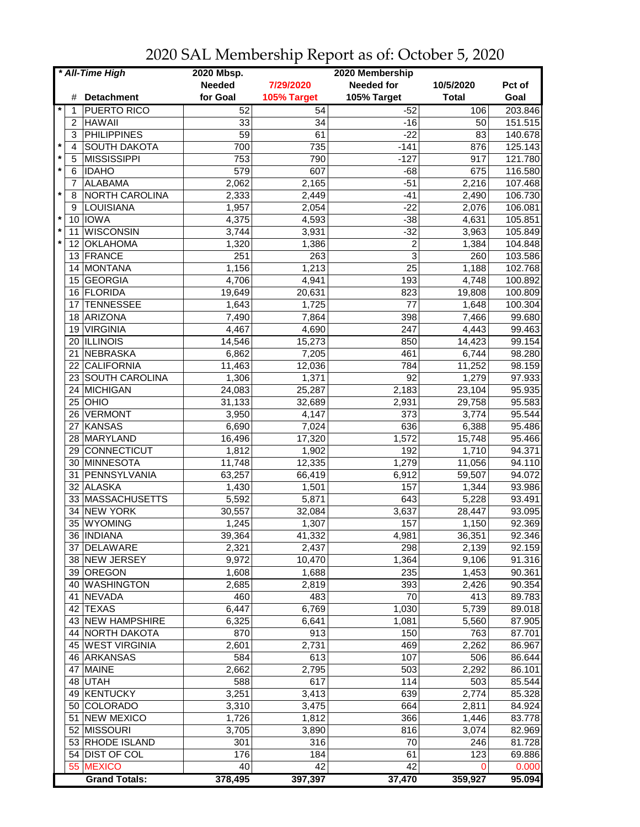| <b>Needed</b><br><b>Needed for</b><br>7/29/2020<br>10/5/2020<br>for Goal<br>105% Target<br>105% Target<br><b>Detachment</b><br><b>Total</b><br>#<br>$\star$<br><b>PUERTO RICO</b><br>52<br>54<br>$-52$<br>106<br>1<br>$\overline{34}$<br>$-16$<br><b>HAWAII</b><br>33<br>$\overline{2}$<br>50<br>PHILIPPINES<br>59<br>$-22$<br>61<br>83<br>3<br>$\star$<br><b>SOUTH DAKOTA</b><br>700<br>735<br>$-141$<br>876<br>4<br>$\star$<br><b>MISSISSIPPI</b><br>753<br>790<br>$-127$<br>917<br>5<br>$\star$<br>579<br>607<br>6<br><b>IDAHO</b><br>$-68$<br>675<br><b>ALABAMA</b><br>2,062<br>$-51$<br>2,216<br>7<br>2,165<br>$\star$<br><b>NORTH CAROLINA</b><br>2,333<br>$-41$<br>8<br>2,449<br>2,490<br>LOUISIANA<br>1,957<br>2,054<br>$-22$<br>2,076<br>9<br>$\ast$<br><b>IOWA</b><br>4,375<br>4,631<br>10<br>4,593<br>$-38$<br>$^\star$<br><b>WISCONSIN</b><br>3,744<br>3,931<br>$-32$<br>3,963<br>11<br>$\pmb{\ast}$<br>2<br><b>OKLAHOMA</b><br>1,320<br>1,386<br>1,384<br>12<br>3<br>FRANCE<br>251<br>263<br>260<br>13<br>25<br><b>MONTANA</b><br>1,156<br>1,213<br>1,188<br>14 |                                   |
|------------------------------------------------------------------------------------------------------------------------------------------------------------------------------------------------------------------------------------------------------------------------------------------------------------------------------------------------------------------------------------------------------------------------------------------------------------------------------------------------------------------------------------------------------------------------------------------------------------------------------------------------------------------------------------------------------------------------------------------------------------------------------------------------------------------------------------------------------------------------------------------------------------------------------------------------------------------------------------------------------------------------------------------------------------------------------|-----------------------------------|
|                                                                                                                                                                                                                                                                                                                                                                                                                                                                                                                                                                                                                                                                                                                                                                                                                                                                                                                                                                                                                                                                              | Pct of                            |
|                                                                                                                                                                                                                                                                                                                                                                                                                                                                                                                                                                                                                                                                                                                                                                                                                                                                                                                                                                                                                                                                              | Goal                              |
|                                                                                                                                                                                                                                                                                                                                                                                                                                                                                                                                                                                                                                                                                                                                                                                                                                                                                                                                                                                                                                                                              | 203.846                           |
|                                                                                                                                                                                                                                                                                                                                                                                                                                                                                                                                                                                                                                                                                                                                                                                                                                                                                                                                                                                                                                                                              | 151.515                           |
|                                                                                                                                                                                                                                                                                                                                                                                                                                                                                                                                                                                                                                                                                                                                                                                                                                                                                                                                                                                                                                                                              | 140.678                           |
|                                                                                                                                                                                                                                                                                                                                                                                                                                                                                                                                                                                                                                                                                                                                                                                                                                                                                                                                                                                                                                                                              | 125.143                           |
|                                                                                                                                                                                                                                                                                                                                                                                                                                                                                                                                                                                                                                                                                                                                                                                                                                                                                                                                                                                                                                                                              | 121.780                           |
|                                                                                                                                                                                                                                                                                                                                                                                                                                                                                                                                                                                                                                                                                                                                                                                                                                                                                                                                                                                                                                                                              | 116.580                           |
|                                                                                                                                                                                                                                                                                                                                                                                                                                                                                                                                                                                                                                                                                                                                                                                                                                                                                                                                                                                                                                                                              | 107.468                           |
|                                                                                                                                                                                                                                                                                                                                                                                                                                                                                                                                                                                                                                                                                                                                                                                                                                                                                                                                                                                                                                                                              | 106.730                           |
|                                                                                                                                                                                                                                                                                                                                                                                                                                                                                                                                                                                                                                                                                                                                                                                                                                                                                                                                                                                                                                                                              | 106.081                           |
|                                                                                                                                                                                                                                                                                                                                                                                                                                                                                                                                                                                                                                                                                                                                                                                                                                                                                                                                                                                                                                                                              | 105.851                           |
|                                                                                                                                                                                                                                                                                                                                                                                                                                                                                                                                                                                                                                                                                                                                                                                                                                                                                                                                                                                                                                                                              | 105.849                           |
|                                                                                                                                                                                                                                                                                                                                                                                                                                                                                                                                                                                                                                                                                                                                                                                                                                                                                                                                                                                                                                                                              | 104.848                           |
|                                                                                                                                                                                                                                                                                                                                                                                                                                                                                                                                                                                                                                                                                                                                                                                                                                                                                                                                                                                                                                                                              | 103.586                           |
|                                                                                                                                                                                                                                                                                                                                                                                                                                                                                                                                                                                                                                                                                                                                                                                                                                                                                                                                                                                                                                                                              | 102.768                           |
|                                                                                                                                                                                                                                                                                                                                                                                                                                                                                                                                                                                                                                                                                                                                                                                                                                                                                                                                                                                                                                                                              | 100.892                           |
| 4,706<br>4,941<br>193<br>4,748<br><b>GEORGIA</b><br>15<br>16 FLORIDA<br>823<br>19,649<br>20,631<br>19,808                                                                                                                                                                                                                                                                                                                                                                                                                                                                                                                                                                                                                                                                                                                                                                                                                                                                                                                                                                    | 100.809                           |
| $\overline{77}$<br><b>TENNESSEE</b><br>1,725<br>17                                                                                                                                                                                                                                                                                                                                                                                                                                                                                                                                                                                                                                                                                                                                                                                                                                                                                                                                                                                                                           |                                   |
| 1,643<br>1,648<br>398<br>ARIZONA                                                                                                                                                                                                                                                                                                                                                                                                                                                                                                                                                                                                                                                                                                                                                                                                                                                                                                                                                                                                                                             | 100.304                           |
| 7,490<br>7,864<br>7,466<br>18                                                                                                                                                                                                                                                                                                                                                                                                                                                                                                                                                                                                                                                                                                                                                                                                                                                                                                                                                                                                                                                | 99.680                            |
| 247<br><b>VIRGINIA</b><br>4,467<br>4,690<br>4,443<br>19                                                                                                                                                                                                                                                                                                                                                                                                                                                                                                                                                                                                                                                                                                                                                                                                                                                                                                                                                                                                                      | 99.463                            |
| 20 ILLINOIS<br>15,273<br>850<br>14,423<br>14,546                                                                                                                                                                                                                                                                                                                                                                                                                                                                                                                                                                                                                                                                                                                                                                                                                                                                                                                                                                                                                             | 99.154                            |
| NEBRASKA<br>6,862<br>7,205<br>461<br>6,744<br>21                                                                                                                                                                                                                                                                                                                                                                                                                                                                                                                                                                                                                                                                                                                                                                                                                                                                                                                                                                                                                             | 98.280                            |
| CALIFORNIA<br>12,036<br>784<br>11,252<br>22<br>11,463                                                                                                                                                                                                                                                                                                                                                                                                                                                                                                                                                                                                                                                                                                                                                                                                                                                                                                                                                                                                                        | 98.159                            |
| 92<br><b>SOUTH CAROLINA</b><br>1,306<br>1,371<br>1,279<br>23                                                                                                                                                                                                                                                                                                                                                                                                                                                                                                                                                                                                                                                                                                                                                                                                                                                                                                                                                                                                                 | 97.933                            |
| MICHIGAN<br>24,083<br>25,287<br>$\overline{2,}183$<br>$\overline{2}3,104$<br>24                                                                                                                                                                                                                                                                                                                                                                                                                                                                                                                                                                                                                                                                                                                                                                                                                                                                                                                                                                                              | 95.935                            |
| <b>OHIO</b><br>31,133<br>25<br>32,689<br>2,931<br>29,758                                                                                                                                                                                                                                                                                                                                                                                                                                                                                                                                                                                                                                                                                                                                                                                                                                                                                                                                                                                                                     | 95.583                            |
| <b>VERMONT</b><br>3,950<br>373<br>3,774<br>26<br>4,147                                                                                                                                                                                                                                                                                                                                                                                                                                                                                                                                                                                                                                                                                                                                                                                                                                                                                                                                                                                                                       | 95.544                            |
| KANSAS<br>636<br>27<br>6,690<br>7,024<br>6,388                                                                                                                                                                                                                                                                                                                                                                                                                                                                                                                                                                                                                                                                                                                                                                                                                                                                                                                                                                                                                               | 95.486                            |
| MARYLAND<br>28<br>16,496<br>17,320<br>1,572<br>15,748                                                                                                                                                                                                                                                                                                                                                                                                                                                                                                                                                                                                                                                                                                                                                                                                                                                                                                                                                                                                                        | 95.466                            |
| <b>CONNECTICUT</b><br>192<br>1,812<br>1,902<br>1,710<br>29                                                                                                                                                                                                                                                                                                                                                                                                                                                                                                                                                                                                                                                                                                                                                                                                                                                                                                                                                                                                                   | 94.371                            |
| <b>MINNESOTA</b><br>11,748<br>1,279<br>12,335<br>11,056<br>30                                                                                                                                                                                                                                                                                                                                                                                                                                                                                                                                                                                                                                                                                                                                                                                                                                                                                                                                                                                                                | 94.110                            |
| PENNSYLVANIA<br>31<br>63,257<br>66,419<br>6,912<br>59,507                                                                                                                                                                                                                                                                                                                                                                                                                                                                                                                                                                                                                                                                                                                                                                                                                                                                                                                                                                                                                    | 94.072                            |
| 32 ALASKA<br>1,430<br>157<br>1,501<br>1,344                                                                                                                                                                                                                                                                                                                                                                                                                                                                                                                                                                                                                                                                                                                                                                                                                                                                                                                                                                                                                                  | 93.986                            |
| 33 MASSACHUSETTS<br>5,592<br>5,871<br>643<br>5,228                                                                                                                                                                                                                                                                                                                                                                                                                                                                                                                                                                                                                                                                                                                                                                                                                                                                                                                                                                                                                           | 93.491                            |
| 34 NEW YORK<br>32,084<br>3,637<br>30,557<br>28,447                                                                                                                                                                                                                                                                                                                                                                                                                                                                                                                                                                                                                                                                                                                                                                                                                                                                                                                                                                                                                           | 93.095                            |
| 35 WYOMING<br>1,245<br>1,307<br>157<br>1,150                                                                                                                                                                                                                                                                                                                                                                                                                                                                                                                                                                                                                                                                                                                                                                                                                                                                                                                                                                                                                                 | 92.369                            |
| 36,351<br>36   INDIANA<br>39,364<br>41,332<br>4,981                                                                                                                                                                                                                                                                                                                                                                                                                                                                                                                                                                                                                                                                                                                                                                                                                                                                                                                                                                                                                          | 92.346                            |
| 2,321<br>2,437<br>298<br>2,139<br>37 DELAWARE                                                                                                                                                                                                                                                                                                                                                                                                                                                                                                                                                                                                                                                                                                                                                                                                                                                                                                                                                                                                                                | 92.159                            |
| 38 NEW JERSEY<br>9,972<br>10,470<br>1,364<br>9,106                                                                                                                                                                                                                                                                                                                                                                                                                                                                                                                                                                                                                                                                                                                                                                                                                                                                                                                                                                                                                           | 91.316                            |
| 39 OREGON<br>235<br>1,608<br>1,688<br>1,453                                                                                                                                                                                                                                                                                                                                                                                                                                                                                                                                                                                                                                                                                                                                                                                                                                                                                                                                                                                                                                  | 90.361                            |
| 40 WASHINGTON<br>2,685<br>2,819<br>393<br>2,426                                                                                                                                                                                                                                                                                                                                                                                                                                                                                                                                                                                                                                                                                                                                                                                                                                                                                                                                                                                                                              | 90.354                            |
| 483<br>70<br><b>NEVADA</b><br>460<br>413<br>41                                                                                                                                                                                                                                                                                                                                                                                                                                                                                                                                                                                                                                                                                                                                                                                                                                                                                                                                                                                                                               | 89.783                            |
| 42 TEXAS<br>6,447<br>6,769<br>1,030<br>5,739                                                                                                                                                                                                                                                                                                                                                                                                                                                                                                                                                                                                                                                                                                                                                                                                                                                                                                                                                                                                                                 | 89.018                            |
| 43 NEW HAMPSHIRE<br>6,325<br>6,641<br>1,081<br>5,560                                                                                                                                                                                                                                                                                                                                                                                                                                                                                                                                                                                                                                                                                                                                                                                                                                                                                                                                                                                                                         | 87.905                            |
| 913<br><b>NORTH DAKOTA</b><br>870<br>150<br>763<br>44                                                                                                                                                                                                                                                                                                                                                                                                                                                                                                                                                                                                                                                                                                                                                                                                                                                                                                                                                                                                                        | 87.701                            |
| 45 WEST VIRGINIA<br>2,601<br>2,731<br>469<br>2,262<br>107                                                                                                                                                                                                                                                                                                                                                                                                                                                                                                                                                                                                                                                                                                                                                                                                                                                                                                                                                                                                                    | 86.967                            |
| 46 ARKANSAS<br>584<br>613<br>506                                                                                                                                                                                                                                                                                                                                                                                                                                                                                                                                                                                                                                                                                                                                                                                                                                                                                                                                                                                                                                             | 86.644                            |
| 47 MAINE<br>2,662<br>503<br>2,292<br>2,795                                                                                                                                                                                                                                                                                                                                                                                                                                                                                                                                                                                                                                                                                                                                                                                                                                                                                                                                                                                                                                   | 86.101                            |
| 617<br>114<br>48 UTAH<br>588<br>503                                                                                                                                                                                                                                                                                                                                                                                                                                                                                                                                                                                                                                                                                                                                                                                                                                                                                                                                                                                                                                          | 85.544                            |
| 49 KENTUCKY<br>3,413<br>639<br>3,251<br>2,774<br>664                                                                                                                                                                                                                                                                                                                                                                                                                                                                                                                                                                                                                                                                                                                                                                                                                                                                                                                                                                                                                         | 85.328                            |
| 50 COLORADO<br>3,310<br>3,475<br>2,811                                                                                                                                                                                                                                                                                                                                                                                                                                                                                                                                                                                                                                                                                                                                                                                                                                                                                                                                                                                                                                       | 84.924                            |
| 51 NEW MEXICO<br>1,726<br>1,812<br>366<br>1,446                                                                                                                                                                                                                                                                                                                                                                                                                                                                                                                                                                                                                                                                                                                                                                                                                                                                                                                                                                                                                              |                                   |
| 52 MISSOURI<br>3,890<br>816<br>3,705<br>3,074                                                                                                                                                                                                                                                                                                                                                                                                                                                                                                                                                                                                                                                                                                                                                                                                                                                                                                                                                                                                                                | 83.778                            |
| 53 RHODE ISLAND<br>316<br>70<br>301<br>246                                                                                                                                                                                                                                                                                                                                                                                                                                                                                                                                                                                                                                                                                                                                                                                                                                                                                                                                                                                                                                   | 82.969                            |
| 54 DIST OF COL<br>176<br>184<br>61<br>123<br>55 MEXICO<br>40<br>42<br>42                                                                                                                                                                                                                                                                                                                                                                                                                                                                                                                                                                                                                                                                                                                                                                                                                                                                                                                                                                                                     | 81.728                            |
| <b>Grand Totals:</b><br>378,495<br>397,397<br>37,470<br>359,927                                                                                                                                                                                                                                                                                                                                                                                                                                                                                                                                                                                                                                                                                                                                                                                                                                                                                                                                                                                                              | 69.886<br>0.000<br>$\overline{0}$ |

## 2020 SAL Membership Report as of: October 5, 2020